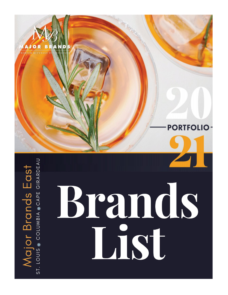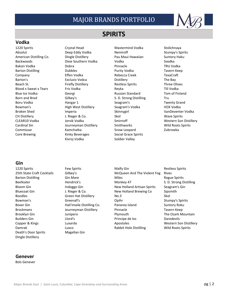

# **SPIRITS**

### **Vodka**

1220 Spirits Crystal Head Mastermind Vodka Stolichnaya Absolut **Stumpy's Spirits** Deep Eddy Vodka Nemiroff **Nemiroff** Stumpy's Spirits American Distilling Co. **Dingle Distillery** Pau Maui Hawaiian Suntory Haku Backwoods Dixie Southern Vodka Vodka Svedka Bakon Vodka Dobra Pinnacle TRU Vodka Barton Distilling Taylor Coupons Dubbles **Purity Vodka** Tavern Keep Company Effen Vodka Rebecca Creek TexaCraft Barton's **Exclusiv Vodca** Distillery **Exclusiv Vodca** Distillery **The Bay** Beach St. **Example 2 Firefly Distillery** Restless Spirits Three Olives Blood x Sweat x Tears Fris Vodka Reyka Reyka Till Vodka Blue Ice Vodka Georgi Russian Standard Tom of Finland Born and Bred Gilbey's Gilbey's S. D. Strong Distilling Tru Boru Vodka **Hangar 1** Seagram's Seagram's Twenty Grand Bowman's **Example 2** High West Distillery Seagram's Vodka Seagram's Voolka Broken Shed **Imperia** Imperia Skinnygirl Skinnygirl VanDeventer Vodka CH Distillery Charles Co. Skol School Wave Spirits CH Distillery and D. Rieger & Co. CLEAR10 Vodka Jorvik Vodka Smirnoff Western Son Distillery Cardinal Sin **Subsets** Journeyman Distillery Smithworks Spirits Wild Roots Spirits Commissar Kamchatka Snow Leopard Zubrowka Core Brewing The Rinky Beverages Core Social Grace Spirits Kivroj Vodka<br>
Soldier Valley

### **Gin**

Death's Door Spirits Magellan Gin Dingle Distillery

1220 Spirits **Few Spirits** Few Spirits Malfy Gin Restless Spirits Restless Spirits 25th State Craft Cocktails Gilbey's McQueen And The Violent Fog Rives Barton Distilling The Gin Mare Community Controller Miles and Miles Rogue Spirits Beefeater **Hendrick's** Hendrick's Monkey 47 S. D. Strong Distilling Bloom Gin **Indoggo Gin** Indoggo Gin New Holland Artisan Spirits Seagram's Gin Bluecoat Gin Manus (Englished School and Brewing Controller Sipsmith Sipsmith Boodles Green Hat Distillery No.3 No.3 Skol Bowman's Greenall's Greenall's Opihr Stumpy's Spirits Boxer Gin **Example 2** Hali'imaile Distilling Co. Boxer Bland Suntory Roku Brockmans **Example 2** Journeyman Distillery **Pinnacle** Pinnacle Tavern Keep Brooklyn Gin **State Communist Communist Communist Communist Communist Communist Communist Communist Communist Communist Communist Communist Communist Communist Communist Communist Communist Communist Communist Communist Co** Builders Gin **Example 2** Llord's **Principe de los** Daredevils Copper & Kings **Copper & Kings** Luxardo **Copper & Kings** Luxardo **Apostoles** Apostoles **Copper & Kings** Copper & Kings Damrak Luxco Rabbit Hole Distilling Wild Roots Spirits

### **Genever**

Bols Genever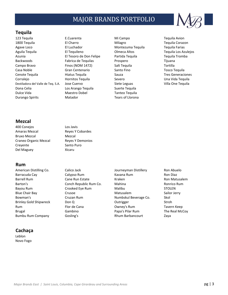

### **Tequila**

123 Tequila E.Cuarenta Mi Campo Tequila Avion 1800 Tequila **El Charro** El Charro Milagro Milagro Tequila Corazon Agave Loco **El Luchador** El Luchador Montezuma Tequila Tequila Farias Aguila Tequila El Tequileno Olmeca Altos Tequila Los Azulejos Azunia **El Tesoro de Don Felipe** Partida Tequila Tequila Tromba Backwoods Fabrica de Tequilas Prospero Tijuana Campo Bravo **Finos (NOM 1472)** Salt Tequila Campo Bravo Gretilla Casa Noble Gran Centenario Santo Fino Tosco Tequila Cenote Tequila Hiatus Tequila Sauza Tres Generaciones Corralejo **Exercicas Hornitos Tequila** Severo Severo Una Vida Tequila Destiladora del Valle de Teq. S.A. Jose Cuervo Siete Leguas Siete Leguas Villa One Tequila Dona Celia Los Arango Tequila Suerte Tequila Dulce Vida **Maestro Dobel** Tanteo Tequila Durango Spirits **Matador** Matador **Tears of Llorona** 

### **Mezcal**

400 Conejos Los Javis Amaras Mezcal Reyes Y Cobardes Bruxo Mezcal Mezcal Craneo Organic Mezcal Reyes Y Demonios Creyente Santo Puro Del Maguey **Xicaru** 

### **Rum**

American Distilling Co. Calico Jack Contract Distillery Ron Abuelo Barracuda Cay **Calypso Rum** Kavana Rum Kavana Rum Ron Diaz Barrell Rum **Cane Run Estate** Kraken Kraken Ron Matusalem Barton's **Conch Republic Rum Co.** Mahina Mahina Ronrico Rum Bayou Rum Crooked Eye Rum Malibu STOLEN Blue Chair Bay **Crusoe** Crusoe **Matusalem Matusalem** Sailor Jerry Bowman's **Cruzan Rum** Cruzan Rum Numbskul Beverage Co. Skol Brinley Gold Shipwreck Don Q Don Don Coutrigger Countries Rum Flor de Cana Cowney's Rum Tavern Keep Brugal **Example Gambino** Gambino **Papa's Pilar Rum** The Real McCoy Bumbu Rum Company Gosling's Rhum Barbancourt Zaya

## **Cachaça**

Leblon Novo Fogo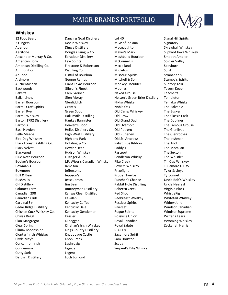

### **Whiskey**

Cutty Sark Legent Daftmill Distillery Loch Lomond

12 Foot Beard Dancing Goat Distillery Lot 40 Signal Hill Spirits 2 Gingers **Devlin Whiskey MGP of Indiana** Signatory Aberlour **Example Distillery** Macnaughton Skrewball Whiskey Macnaughton Skrewball Whiskey Aerstone **Example 20 Example 20 Slipknot Iowa Whiskey** Douglas Laing & Co **Maker's Mark** Slipknot Iowa Whiskey Alexander Murray & Co. Edradour Distillery Mashbuild Bourbon Smooth Ambler American Born **Few Spirits** Few Spirits McConnell's Soldier Valley American Distilling Co. The Firestone & Robertson Mcclelland Speyburn Ammunition Distilling Co Midleton Sqrrl AnCnoc Fistful of Bourbon Missouri Spirits Stranahan's Ardmore George Remus Mitchell & Son Stumpy's Spirits Auchentoshan **Giant Texas Bourbon** Monkey Shoulder Suntory Toki Backwoods Gibson's Finest Moonys Tavern Keep Baker's **Glen Garioch Naked Grouse** Teacher's Clem Garioch Naked Grouse Teacher's Ballantine's Glen Moray Nelson's Green Brier Distilery Templeton Barrell Bourbon **Glenfiddich** Nikka Whisky Tenjaku Whisky Barrell Craft Spirits Grant's Grant's Noble Oak The Balvenie Barrell Rye **Green Spot** Green Spot **Old Camp Whiskey** The Busker Barrell Whiskey **Hali'imaile Distilling Old Crow** The Classic Cask Barton 1792 Distillery Hankey Bannister Old Grand Dad The Dubliner Barton's Heaven's Door Old Overholt The Famous Grouse Basil Hayden **Helios Distillery Co.** Old Potrero The Glenlivet Belle Meade **High West Distillery** Old Pulteney The Glenrothes Bird Dog Whiskey Highland Park Old St. Andrews The Irishman Black Forest Distilling Co. Hotaling & Co. Pabst Blue Ribbon Black Velvet **Howler Head** Paddy's **Paddy's** The Macallan Blackened **Hudson Whiskey Passport** Passport The Sexton Blue Note Bourbon **J. Rieger & Co.** Pendleton Whisky **Provides** The Whistler Booker's Bourbon **Matter A. I.P. Wiser's Canadian Whisky** Pike Creek Tin Cup Whiskey Bowman's **Solution Communis** Jameson **Powers Whiskey** Tullamore D.E.W. Bowmore Jefferson's Prizefight Tyler & Lloyd Bull & Bear **Secure Type Accounts** Jeppson's Tyrconnel Proper Twelve Tyrconnel Bushmills The Jesse James Allen Bushmills Allen Bob's Whiskey Bushmills and Desse James Allen Bob's Whiskey CH Distillery **Solution CH Distilling** Uncle Nearest Uncle Nearest Calumet Farm **Journeyman Distillery** Rebecca Creek **Virginia Black** Canadian 298 Kansas Clean Distilled Red Shot WhistlePig Canadian Club **Kavalan** Kavalan Redbreast Whiskey Whitetail Whiskey Cardinal Sin **Kentucky Coffee Restless Spirits** Widow Jane Cedar Ridge Distillery **Kentucky Dale Riverset** Riverset Ridge Distillery Riverset Ridge Distillery Riverset Ridge Chicken Cock Whiskey Co. The Kentucky Gentleman Rogue Spirits The Mindsor Supreme Chivas Regal **Rossis Chivas Regal** Kessler **Rossville Union** Writer's Tears Clan Macgregor **Kilbeggan** Rights Royal Canadian Macgregor Wyoming Whiskey Clear Spring Kinahan's Irish Whiskey Royal Salute Zackariah Harris Climax Moonshine Kings County Distillery STOLEN Clontarf Irish Whiskey Knappogue Castle Sagamore Spirit Clyde May's **Knob Creek** Sam Houston Concannon Irish Laphroaig Laphroaig Scapa Connemara **Legacy Connemara** Legacy **Connemara Connemara** Legacy **Connemara Connemara Connection**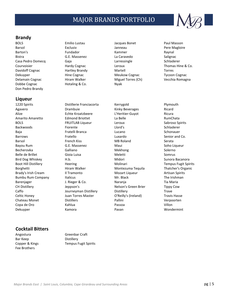

### **Brandy**

Barsol Exclusiv Janneau Pere Magloire Barton's **Example 1 State Constructs** Fundador **Raynal** Kammer **Raynal** Bistra G.E. Massenez La Caravedo Salignac Casa Pedro Domecq Gaja Larressingle Schladerer Courvoisier Hardy Cognac Leroux Thomas Hine & Co. Davidoff Cognac Hartley Brandy Martell Torres Dekuyper Hine Cognac Meukow Cognac Tycoon Cognac Delamain Cognac **Hiram Walker** Miguel Torres (Ch) **Vecchia Romagna** Vecchia Romagna Dobbe Cognac **Hotaling & Co.** Nyak Don Pedro Brandy

### **Liqueur**

Agavero **Drambuie Communic Ricard** Kinky Beverages Ricard Alize Echte Kroatzbeere L'Heritier-Guyot Ricura Amarito Amaretto **Edmond Briottet** La Belle **La Belle** RumChata BOLS FRUITLAB Liqueur Leroux Leroux Sabroso Spirits Backwoods Fiorente Llord's Schladerer Baja Fratelli Branca Lucano Schonauer Barrows Fratello Luxardo Senior and Co. Barsol **French Kiss** MB Roland Serata Serata Bayou Rum G.E. Massenez Maui Maui Soho Liqueur Becherovka Galliano Mekhong Solerno Belle de Brillet **Gioia Luisa** Computer de Luisa Meletti Nelle de Somrus Bird Dog Whiskey **H.b.** H.b. Midori Midori Sunora Bacanora Boot Hill Distillery **Heering** Heering Molinari Molinari Tempus Fugit Spirits Borghetti **Hiram Walker** Montezuma Tequila Thatcher's Organic Brady's Irish Cream **Il Tramonto** Il Tramonto Mozart Liqueur Artisan Spirits Bumbu Rum Company Italicus **Mr. Black** Mr. Black The Irishman Barenjager Tia Maria (J. Rieger & Co. Naranja Naranja Tia Maria CH Distillery Jeppson's Nelson's Green Brier Tippy Cow Caffo **Caffo** Journeyman Distillery Distillery **Distillery** Trave Celtic Honey Juan Torres Master O'Reilly's (Ireland) Travis Hasse Chateau Monet Distillers Pallini Verpoorten Copa de Oro Kahlua Passoa Villon Dekuyper Kamora Pavan Wondermint

## **Cocktail Bitters**

Bar Keep Distillery Fee Brothers

BOLS **Emilio Lustau Charles Bonet** Paul Masson BOLS

1220 Spirits **Distillerie Franciacorta Conservery References According Plymouth** 

Angostura Greenbar Craft Copper & Kings Tempus Fugit Spirits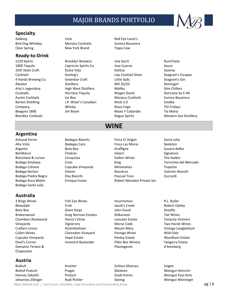

### **Specialty**

### **Ready-to-Drink**

1220 Spirits **Brooklyn Brewery** Joia Spirit **Brooklyn Brewery** Joia Spirit RumChata Blondies Cocktails Rogue Spirits Western Son Distillery

Aalborg **Linie** Linie **Red Eye Louie's** Red Eye Louie's Bird Dog Whiskey **Monaco Cocktails** Sunora Bacanora Clear Spring New York Brand Tippy Cow

1800 Tequila Capriccio Spirits Co. Jose Cuervo Sauza 25th State Craft **Canadia Community** Dulce Vida Kahlua Kahlua Sazerac Cocktails Gosling's Liqs Cocktail Shots Seagram's Escapes 4 Hands Brewing Co. Greenbar Craft Little Syds Seagram's Gin Absolut Distillery MD 20/20 Skinnygirl Arty's Legendary **High West Distillery** Malibu Malibu Slim Chillers Cocktails **Example 20 Hornitos Tequila** Mogen David Sluricane by E-40 Austin Cocktails **In the Box** Ice Box **Monaco Cocktails** Sunora Bacanora Barton Distilling The Mule 2.0 Svedka Guide Constants Canadian Mule 2.0 Svedka Company **Novo TGI Fridays** Whisky **Novo Fogo** Novo Fogo TGI Fridays Beagans 1806 **IIM Beam** Jim Beam Reyes Y Cobardes Tia Maria

**WINE**

# **Argentina**

Achaval Ferrer **Bodegas Bianchi** Finca El Origen Santa Julia Bodega Santa Julia

### **Australia**

3 Rings Wines **Fish Eye Wines** Insurrection R.L. Buller Domaine Terlato & Plantagenet d'Arenberg Chapoutier

## **Austria**

BioKult Singletin Schloss Maissau Szigetin Schloss Maissau Szigetin Szigetin Szigetin Szigetin Szigetin Szigeti

- 
- Alta Vista Bodegas Caro Finca Las Moras Skeleton Argento Bota Box Graffigna Susana Balbo BenMarco Chakras Charas Inkarri Signature Blanchard & Lurton **Conquista** Conquista Kaiken Wines The Seeker Bodega Amalaya **Crios** Crios Crios King King Torrontes del Mercado Bodega Colome Cupcake Vineyards Minimalista Trapiche Bodega Norton **Diseno** Diseno Nosotros Nosotros Valentin Bianchi Bodega Piedra Negra **Elsa Bianchi** Pascual Toso **Pascual Toso** Zuccardi Bodega Ruca Malen **Enrique Foster** Robert Mondavi Private Sel.
- 

Bleasdale Frisk Frisk Jacob's Creek Robert Oatley Robert Oatley Bota Box Giant Steps Giant Steps John Duval Shoofly Brokenwood **Greg Norman Estates** Kilikanoon Tait Wines Chambers Rosewood Henry's Drive Leeuwin Estate Tenacity Vintners Vineyards Vignerons Morse Code Two Hands Wines Crafters Union **Mickinbotham** Mount Mary Mount Mary Vintage Longbottom Cullen Wines Clarendon Vineyard Paringa Wines Wild Oats Cupcake Vineyards Hope Estate Penley Estate Wyndham Estate Devil's Corner **Innocent Bystander** Pillar Box Winery Yangarra Estate

Biohof Pratsch **Prager** Prager Skeleton Skeleton Weingut Heinrich Hannes Sabathi Pratsch Stadt Krems Weingut Paul Achs Johannes Zillinger **Steinig Weingut Wieninger** Steinig Steinig Steinig Weingut Wieninger

*Major Brands East | Saint Louis, Columbia, Cape Girardeau and Surrounding Areas* pg | 6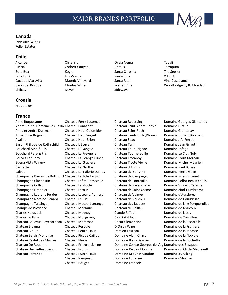## **Canada**

Inniskillin Wines Peller Estates

### **Chile**

Alcance Chilensis Oveja Negra Tabali Bin 94 **Corbett Canyon** Primus Primus **Terrapura** Bota Box **Santa Carolina** Carolina The Seeker Bota Brick Los Vascos Santa Ema V.E.S.A Cacique Maravilla Matetic Vineyards Santa Rita Vina Casablanca Chilcas Neyen Neyen Sideways

## **Croatia**

Krauthaker

### **France**

Aime Roquesante **Chateau Ferry Lacombe** Chateau Roustaing Domaine Georges Glantenay Andre Brunel Domaine les Caillo Chateau Fonbadet Chateau Saint-Andre Corbin Domaine Giraud Anna et Andre Durrmann Chateau Haut Colombier Chateau Saint-Roch Domaine Glantenay Armand de Brignac Chateau Haut Surget Chateau Saint-Roch (Rhone) Domaine Hubert Brochard Avaline Chateau Haut-Brion Chateau Suau Domaine J.A. Ferret Baron Philippe de Rothschild Chateau L'Ecuyer Chateau Tarin Chateau Tarin Domaine Jean Grivot Bouchard Aine & Fils Chateau L'Evangile Chateau Tour Prignac Domaine Lafage Bouchard Pere & Fils Chateau La Freynelle Chateau Tournefeuille Domaine Le Clos Noly Bouvet-Ladubay **Chateau La Grange Clinet** Chateau Trotanoy **Chateau Trotanow** Domaine Louis Moreau Buena Vista Winery Chateau La Graviere Chateau Trotte Vieille Domaine Michel Magnien Cachette Chateau La Nerthe Chateau d'Arcins Domaine Paul Buisse Calvet Chateau La Tuilerie Du Puy Chateau de Bon Ami Domaine Pierre Gelin Champagne Barons de Rothschil Chateau Laffitte Laujac Chateau de Campuget Domaine Prieur-Brunet Champagne Clandestin Chateau Lafite Rothschild Chateau de Fontenille Domaine Tollot-Beaut et Fils Champagne Collet Chateau Laribotte Chateau de Parenchere Domaine Vincent Careme Champagne Drappier Chateau Latour Chateau de Saint Cosme Domaine Zind-Humbrecht Champagne Laurent-Perrier Chateau Latour a Pomerol Chateau de Valmer Domaine d'Aussieres Champagne Nomine-Renard Chateau Le Pin Chateau de Vaudieu Domaine de Courbissac Champagne Taittinger Chateau Macou-Lagrange Chateau des Jacques Domaine de L'Ile Porquerolles Champs de Provence Chateau Margaux Chateau du Caillau Domaine de Marcoux Charles Heidsieck **Chateau Meyney** Claude Riffault **Charles Heidsieck** Domaine de Nizas Charles de Fere Chateau Mongravey Clos Saint Jean Domaine de Trevallon Chateau Bellevue Peycharneau Chateau Montrose Coeur Clementine Domaine de la Biscarelle Chateau Blaignan Chateau Pesquie D'Orsay Wine Domaine de la Fruitiere Chateau Blouin Chateau Peuch-Haut Damien Laureau Domaine de la Janasse Chateau Belair-Monange Chateau Picque Caillou Domaine Alain Chavy Domaine de la Noblaie Chateau Castel des Maures Chateau Plince Domaine Blain-Gagnard Domaine de la Rochette Chateau De Rouanne Chateau Prieure-Lichine Domaine Comte Georges de Vog Domaine des Bosquets Chateau Ducru-Beaucaillou Chateau Promis Domaine De Saint Cosme Domaine du Ch de Meursault Chateau Ferrande Chateau Puech-Haut Domaine Drouhin-Vaudon Domaine du Viking

Chateau Rouget Domaine Francois

Casas del Bosque **Montes Wines** Scarlet Vine Scarlet Vine Woodbridge by R. Mondavi

Chateau Rampeau **Domaine Fouassier** Domaines Minchin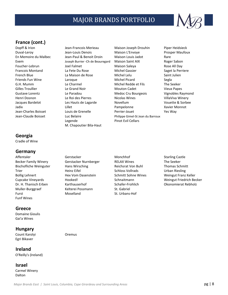

## **France (cont.)**

### **Georgia**

Cradle of Wine

### **Germany**

Becker Family Winery **Gerstacker Nurnberger** RELAX Wines The Seeker Bischofliche Weinguter Hans Wirsching Thomas Schmitt Reichsrat Von Buhl Thomas Schmitt Trier Trier Trier Heinz Eifel Schloss Vollrads Urban Riesling Bollig Lehnert **Hex Vom Dasenstein** Schmitt Sohne Wines Weingut Franz Keller Dr. H. Thanisch Erben Karthauserhof Schafer-Frohlich Okonomierat Rebholz Muller-Burggraef Kelterei Possmann St. Gabriel Furst Moselland St. Urbans-Hof Funf Wines

### **Greece**

Domaine Gioulis Gai'a Wines

### **Hungary**

Count Karolyi **Count Count Karolyi Count Count** Count Egri Bikaver

**Ireland** O'Reilly's (Ireland)

**Israel** Carmel Winery Dalton

Duval-Leroy Jean-Louis Denois Maison L'Envoye Prosper Maufoux En Memoire du Malbec Jean-Paul & Benoit Droin Maison Louis Jadot Rare Exem Goseph Burrier -Ch de Beauregard Maison Saint AIX Roger Sabon Foucher-Lebrun **Foucher-Lebrun** Joel Falmet **Maison Saleya** Rose All Day Francois Montand **La Fete Du Rose** Michel Gassier Saget la Perriere French Blue La Maison de Rose Michel Lelu Saint Julien Friends Fun Wine **Calculation** Laroque **Calculation Contract Contract Contract Contract Contract Contract Contract Contract Contract Contract Contract Contract Contract Contract Contract Contract Contract Contract Contract** G.H. Mumm Le Charmel Michel Redde et Fils The Seeker Gilles Troullier **Le Grand Noir Mouton Cadet** Vieux Papes Vieux Papes Gustave Lorentz **Le Paradou Le Paradou** Medoc Cru Bourgeois Vignobles Raymond Henri Dosnon **Markon Le Roi des Pierres** Nicolas Wines Nicolas Wines Villa Viva Winery Jacques Bardelot Les Hauts de Lagarde Novellum Vouette & Sorbee Jadix Lillet Pampelonne Xavier Monnot Jean-Charles Boisset Louis de Grenelle Perrier-Jouet Yes Way Jean-Claude Boisset Luc Belaire Philippe Gimel-St Jean du Barroux Legende Pinot Evil Cellars M. Chapoutier Bila-Haut

Dopff & Irion **Interpretent Clean-Francois Merieau** Maison Joseph Drouhin Piper Heidsieck

Affentaler Gerstacker Gerstacker Monchhof Starling Castle

Cupcake Vineyards **Hooked!** Schnaitmann Weingut Friedrich Becker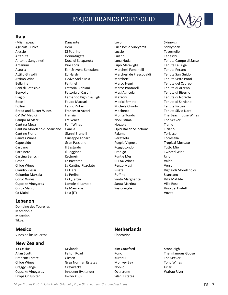

### **Italy**

Agricola Punica **Carlo Confluct Bosio Luca Bosio Vineyards** Stickybeak Alessio Di Padrino Luccio Tavernello Altanuta Donnafugata Luiano Tedeschi Antonio Sanguineti Duca di Salaparuta Luna Nuda Tenuta Campo di Sasso Arcanum **Carlo Contract Contract Contract Contract Contract Contract Contract Contract Contract Contract Contract Contract Contract Contract Contract Contract Contract Contract Contract Contract Contract Contract Contract** Astoria Earl Stevens Selections Marchesi Fumanelli Tenuta Perano Attilio Ghisolfi Ed Hardy Marchesi de Frescobaldi Tenuta San Guido Attimo Wine **Evviva Stella Mia** Marchetti Marchetti Tenuta Sette Ponti Bellafina Fantinel Marco Negri Tenuta del Cabreo Beni di Batasiolo Fattoria Bibbiani Marco Pontarelli Tenuta di Arceno Benvolio **Fattoria di Caspri** Masi Agricola **Nasi Agricola** Tenuta di Biserno Biagio **Fernando Pighin & Figli** Mazzoni **Nazzoni** Tenuta di Nozzole Bocelli Feudo Maccari Medici Ermete Tenuta di Salviano Bollini **Example 2** Feudo Zirtari **Michele Chiarlo Michele Chiarlo Tenute Piccini** Chiarlo Tenute Piccini Bread and Butter Wines Francesco Atzori Mochetto Morochetto Tenute Silvio Nardi Ca' De' Medici Franzia Monte Tondo The Beachhouse Wines Campo Al Mare **Freixenet** The Seeker Campo Al Mare The Seeker Cantina Mesa **Funf Wines** Nozzole **Nozzole Research Standard Tiamo** Cantina Morellino di Scansano Gancia Opici Italian Selections Tiziano Cantine Florio Gianni Brunelli Palama Torlasco Canvas Wines Giuseppe Lonardi Perazzeta Torresella Caposaldo Gran Passione Poggio Vignoso Tropical Moscato Carpano **Il Bastardo Carpano II** Bastardo **Poggiotondo** Poeta Poeta Tutto Mio Carpineto **Il Poggione Prodigo Prodigo Prodigo** Twisted Wine Cascina Baricchi Kettmeir Punt e Mes Urlo Cesari La Bastarda RELAX Wines Valdo Chloe Wines La Cantina Pizzolato Renzo Masi Verso Claudio Plessi La Fiera Risata Vignaioli Morellino di Colombo Marsala <sup>La Perlina</sup> La Perlina Ruffino Ruffino Scansano Corvo Wines **La Quercia** Corvo Mines Corvo Willa Matilde Cupcake Vineyards Lamole di Lamole Santa Martina Villa Rosa Curto Marco Le Manzane Sassoregale Vino dei Fratelli Ca Maiol Lola (IT) Voveti

### **Lebanon**

Domaine des Tourelles Macedonia Macedon Tikve.

Vinos de los Muertos ChocoVine

### **New Zealand**

13 Celsius **13 Celsius Communist Communist Communist** Kim Crawford Changes Stoneleigh Brancott Estate **Giesen** Giesen **Kuranui** Kuranui The Seeker Chloe Wines Greg Norman Estates Monkey Bay Tohu Wines Craggy Range **Greywacke Greywacke** Nobilo Nobilo Urlar Cupcake Vineyards **Innocent Bystander** Cupcake Vineyards Wairau River Drops Of Jupiter Invivo X SJP Sileni Estates

(M)amapeach Danzante Lovo Skinnygirl

### **Mexico Netherlands**

Allan Scott **Felton Road** Kono Kono The Infamous Goose Conservation Conservation Conservation Conservation Conse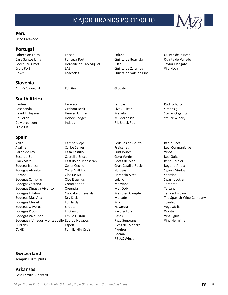

#### **Peru**

Pisco Caravedo

### **Portugal**

### **Slovenia**

Anna's Vineyard Edi Sim.i. Giocato

**South Africa**

#### Cabeca de Toiro Faisao Orlana Quinta de la Rosa Casa Santos Lima Fonseca Port Quinta da Boavista Quinta do Vallado Cockburn's Port **Herdade de Sao Miguel** [Dao] Taylor Fladgate Croft Port LAB Quinta da Zaralhoa Vila Nova Dow's Leacock's Quinta de Vale de Pios

Bayten Excelsior Jam Jar Rudi Schultz Boschendal Graham Beck Live-A-Little Simonsig De Toren Toren Honey Badger Nullderbosch Stellar Winery DeMorgenzon **Indaba** Indaba Rib Shack Red

David Finlayson **Makulu** Heaven On Earth Makulu Nakulu Stellar Organics

**Spain**

Ernie Els

Aalto **Campo Viejo Fedellos do Couto** Radio Boca **Radio Boca** Avaline Carlos Serres Freixenet Carlos Serres Freixenet Real Compania de Baron de Ley **Casa Castillo** Casa Castillo **Funf Wines** Vinos Beso del Sol **Castell d'Encus** Goru Verde Castell d'Encus Black Slate Castillo de Monseran Gotas de Mar Rene Barbier Bodega Trenza **Celler Cecilio** Gran Castillo Rocio Roger d'Anoia Bodegas Abanico Celler Vall Llach Harveys Segura Viudas Hazana Clos De Nit Herencia Altes Spartico Bodegas Campillo Clos Erasmus Lolailo Swashbuckler Bodegas Castano **Commando G** Manyana Manyana Tarantas Bodegas Dinastia Vivanco Creencia Creencia Mas Doix Creencia Bodegas Fillaboa **Cupcake Vineyards** Mas d'en Compte Terroir Historic Bodegas Mas Alta **Menade** Dry Sack Menade The Spanish Wine Company Bodegas Muriel **Ed Hardy Ed Hardy** Mia Mia Tosalet Bodegas Oliveros **El Coto El Coto** Navardia Navardia Vega Sicilia Bodegas Picos **El Gringo** Paco & Lola Vionta Bodegas Valdubon Emilio Lustau Pasas Vina Eguia Bodegas y Vinedos Monteabello Equipo Navazos Pazo Senorans Vina Herminia Burgans **Espelt** Espelt **Picos del Montgo** CVNE **Familia Nin-Ortiz** Piquitos

Poema RELAX Wines

## **Switzerland**

Tempus Fugit Spirits

**Arkansas** Post Familie Vineyard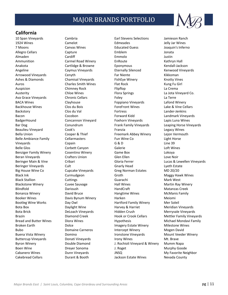

### **California**

Cakebread Cellars Durant & Booth Jackson Estate Wines Nevada County

10 Span Vineyards Cambria Earl Stevens Selections Jamieson Ranch 1924 Wines Camelot Edmeades Jelly Jar Wines 7 Moons Canvas Wines Educated Guess Joaquin's Inferno Allegro Cellars Capture Emblem Jonata Almaden Cardiff Emmolo Justin Ammunition Carmel Road Winery EnRoute Carmel Road Winery EnRoute Anakota Cartlidge & Browne Eponymous Kendall-Jackson Angeline Caymus Vineyards Eternally Silenced Kenwood Vineyards Caymus Vineyards Arrowood Vineyards Cenyth Far Niente Far Niente Kikkoman Ashes & Diamonds **Chamisal Vineyards** FishEye Winery FishEye Winery Knotty Vines Auros **Charles Smith Wines** Flat Rock **Charles Charles Smith Wines** Flat Rock **Charles** Kung Fu Girl Auspicion Chimney Rock Flipflop La Crema Austerity **Example 2 Childe Wines** Flora Springs **Research Community Community** Co. Ava Grace Vineyards Chronic Cellars Foley Foley Chronic Cellars Foley Chronic Cellars Chronic Cellars Foley Chronic Cellars Foley BACA Wines Clayhouse Foppiano Vineyards Lafond Winery Backhouse Wines Clos du Bois ForeFront Wines Lake & Vine Cellars Backstory Clos du Val Fortress Lander-Jenkins Bacon **Example 2** Cocobon **Forward Kidd** Landmark Vineyards BadgerHound Concannon Vineyard Foxhorn Vineyards Lapis Luna Wines Bar Dog Conundrum **Frank Family Vineyards** Leaping Horse Vineyards Beaulieu Vineyard **Cook's** Franzia **Franzia** Legacy Wines Bella Union **Example 2** Cooper & Thief Freemark Abbey Winery Lejon Vermouth Belle Ambiance Family **Cellarmasters** Fun Wine Co **Light Horse** Vineyards Copain G & D Line 39 Belle Glos Corbett Canyon Galerie Loft Wines Benziger Family Winery Cosentino Winery Game Box Cokoya Beran Vineyards Crafters Union Glen Ellen Love Noir Beringer Main & Vine Cribari Cribari Cribari Gloria Ferrer Communication Clubated Museum Cribari Green Cribari Beringer Vineyards Cult Cult Cult Gnarly Head Lyeth Estate Big House Wine Co Cupcake Vineyards Greg Norman Estates MD 20/20 Black Ink Curmudgeon Groth Groth Groth Maggy Hawk Wines Black Stallion **Guarachi** Cuttings Cuttings Guarachi Guarachi Mark West Blackstone Winery **Cuvee Sauvage** Hall Wines Hall Wines Martin Ray Winery Blindfold **Darioush Darioush** HandCraft Matanzas Creek Bonanza Winery **Example 2 Club Concrete Concrete Club Concrete Hangtime Wines McManis Family** Booker Wines **Davis Bynum Winery** Harken Meiomi Bootleg Wine Works **Day Owl Hartford Family Winery** Mer Soleil Bota Box **Daylight Wine** Harvey & Harriet Meridian Vineyards Bota Brick DeLoach Vineyards Hidden Crush Merryvale Vineyards Brazin **Example 2 Example 2 Concernsive Creek** Hook or Crook Cellars Mettler Family Vineyards Bread and Butter Wines Diora Wines Nichael Mondavi Family Correspondent Michael Mondavi Family Broken Earth **Imagery Estate Winery Communist Communist** Imagery Estate Winery Milestone Wines Bubo Domaine Carneros Intercept Winery Mogen David Buena Vista Winery Domino Ironstone Vineyards Mount Veeder Winery Buttercup Vineyards Donati Vineyards Irony Wines Mt. Brave Byron Winery Double Diamond J. Rochioli Vineyard & Winery Mumm Napa Boen Wine **Dreyer Sonoma** J. Roget Murphy Goode Murphy Goode Cabanero Wines Dunn Vineyards JNSQ My Favorite Neighbor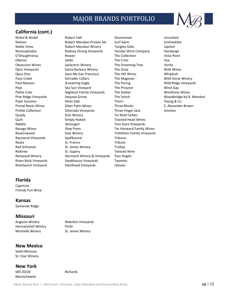

## **California (cont.)**

Nickel & Nickel **Robert Hall** Robert Hall Stonestreet **Example 2016** Uncorked Nielson Robert Mondavi Private Sel. Surf Swim Unshackled Noble Vines Robert Mondavi Winery Tangley Oaks Upshot Novinophobia Rodney Strong Vineyards Tensley Wine Company Vendange O'Shaughnessy Rowen The Collection Vista Point Oberon Saldo The Critic Vya Obsession Wines Salvestrin Winery The Dreaming Tree Verite Opici Vineyards Santa Barbara Winery The Drop Walt Wines Opus One Save Me San Francisco The Hilt Wines Whiplash Paso Creek **Schrader Cellars** The Magician Wild Horse Winery **Schrader Cellars** The Magician Paul Masson **Screaming Eagle** The Paring The Wild Ridge Vineyards Conservation of the Paring Wild Ridge Vineyards Pepi Sea Sun Vineyard The Prisoner Wind Gap Petite Cote **Seghesio Family Vineyards** The Seeker WindVane Wines Pine Ridge Vineyards Sequoia Grove The Snitch Sexual American Woodbridge by R. Mondavi Piper Sonoma Silver Oak Thorn Young & Co Primal Roots Wines Silver Palm Wines Three Blocks Z. Alexander Brown Profile Collection Silverado Vineyards Three Finger Jack tenshen Quady **Simi Winery** Tin Roof Cellars Quilt Simply Naked Toasted Head Wines Rabble Skinnygirl Skinnygirl Tom Gore Vineyards Ravage Wines Slow Press Tor Kenward Family Wines Ravenswood Sola Winery Trefethen Family Vineyards Raymond Vineyards Spellbound Tribuno Reata St. Francis St. Francis Tribute Red Schooner St. James Winery Trollop Redtree St. Supery St. Supery Twisted Wine Renwood Winery Starmont Winery & Vineyards Two Angels Riven Rock Vineyards Steakhouse Vineyards Twomey Riverbench Vineyard Steelhead Vineyards Ulysses

### **Florida**

Capriccio Friends Fun Wine

#### **Kansas**

Somerset Ridge

### **Missouri**

Augusta Winery Noboleis Vineyards Hermannhof Winery **Pirtle** Montelle Winery St. James Winery

### **New Mexico**

Soleil Mimosa St. Clair Winery

### **New York**

MD 20/20 Richards Manischewitz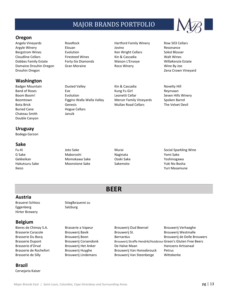

### **Oregon**

Angela Vineyards **RoseRock** Hartford Family Winery Row 503 Cellars Argyle Winery Elouan Jovino Resonance Bergstrom Wines **Evolution** Evolution Ken Wright Cellars Sokol Blosser Cloudline Cellars **Firesteed Wines** Kin & Cascadia Walt Wines Dobbes Family Estate Forty-Six Diamonds Maison L'Envoye WillaKenzie Estate Domaine Drouhin Oregon Gran Moraine Roco Winery Wine By Joe Drouhin Oregon Zena Crown Vineyard

### **Washington**

Buried Cane **Hogue Cellars** Chateau Smith Januik Double Canyon

### **Uruguay**

Bodega Garzon

### **Sake**

G Sake Maboroshi Naginata Yomi Sake Gekkeikan Momokawa Sake Ozeki Sake Yoshinogawa Hakutsuru Sake Moonstone Sake Sakemoto Yuki No Bosha Ikezo Yuri Masamune

Badger Mountain **Dusted Valley Club Access Contained Valley** Kin & Cascadia Novelty Hill Band of Roses **Eve** Eve **Example 20** Eve Kung Fu Girl Reynvaan Boom Boom! Evolution Evolution Leonetti Cellar Seven Hills Winery Boomtown **Figgins Walla Walla Valley** Mercer Family Vineyards Spoken Barrel Bota Brick Genesis Genesis Mullan Road Cellars The Velvet Devil

Fu-Ki Joto Sake Murai Social Sparkling Wine

# **BEER**

### **Austria**

Brauerei Schloss Stieglbrauerei zu Eggenberg Salzburg Hirter Brewery

## **Belgium**

**Brazil**

Cervejaria Kaiser

Bieres de Chimay S.A. Brasserie a Vapeur Brouwerij Oud Beersel Brouwerij Verhaeghe Brasserie Caracole **Brouwerij Bavik** Brouwerij Bavik Brouwerij St. Brouwerij Westmalle Brasserie Du Bocq **Brouwerij Boon** Bernardus Bernardus Brouwerij de Dolle Brouwers Brasserie Dupont Brouwerij Corsendonk Brouwerij Straffe Hendrik/Huisbrouwerij Green's Gluten Free Beers Brasserie d'Orval **Brouweri**j Het Anker De Halve Maan Hanssens Artisanaal Brasserie de Rochefort Brouwerij Huyghe Brouwerij Van Honsebrouck Petrus Brasserie de Silly Brouwerij Lindemans Brouwerij Van Steenberge Wittekerke

*Major Brands East | Saint Louis, Columbia, Cape Girardeau and Surrounding Areas* pg **b and particle and pg | 13**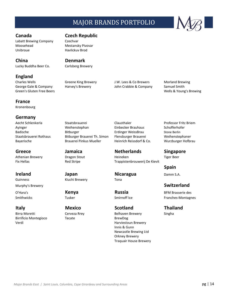Labatt Brewing Company Czechvar Moosehead Mestansky Pivovar Unibroue Havlickuv Brod

Lucky Buddha Beer Co. Carlsberg Brewery

## **England**

Green's Gluten Free Beers Wells & Young's Brewing

**France** Kronenbourg

- **Germany**
- 

Guinness **Kiuchi Brewery** Tona

Birrificio Montegioco Tecate Tecate BrewDog

# **Canada Czech Republic**

### **China Denmark**

Charles Wells Greene King Brewery J.W. Lees & Co Brewers Morland Brewing George Gale & Company Harvey's Brewery John Crabbie & Company Samuel Smith

Aecht Schlenkerla Staatsbrauerei Clausthaler Professor Fritz Briem Ayinger Weihenstephan Einbecker Brauhaus Schofferhofer Badische Bitburger Erdinger WeissBrau Stone Berlin Staatsbrauerei Rothaus Bitburger Brauerei Th. Simon Flensburger Brauerei Weihenstephaner Bayerische Brauerei Pinkus Mueller Heinrich Reissdorf & Co. Wurzburger Hofbrau

**Greece Jamaica Netherlands Singapore**

Athenian Brewery **Dragon Stout Heineken** Heineken Tiger Beer Fix Hellas **Red Stripe** Red Stripe Trappistenbrouwerij De Kievit

**Ireland Japan Nicaragua** Damm S.A.

**Italy Mexico Scotland Thailand** Birra Moretti **Cerveza Rrey Communist Cerveza Rrey Communist Cerve**za Rrey Belhaven Brewery Singha Verdi Verdi Harviestoun Brewery Innis & Gunn Newcastle Brewing Ltd Orkney Brewery

Traquair House Brewery

**Spain**

## Murphy's Brewery **Switzerland**

O'Hara's **Kenya Russia** BFM Brasserie des Smithwicks Tusker Tusker Smirnoff Ice Franches-Montagnes

*Major Brands East | Saint Louis, Columbia, Cape Girardeau and Surrounding Areas* pg **b and part and pg | 14**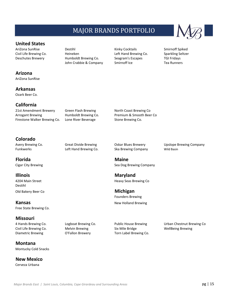

## **Arizona**

AriZona SunRise

**Arkansas**

Ozark Beer Co.

### **California**

21st Amendment Brewery Green Flash Brewing North Coast Brewing Co Arrogant Brewing **Humboldt Brewing Co.** Premium & Smooth Beer Co Firestone Walker Brewing Co. Lone River Beverage Stone Brewing Co.

AriZona SunRise **Destihl Communist Contains Arizona** Smirnoff Spiked Civil Life Brewing Co. Heineken Left Hand Brewing Co. Sparkling Seltzer Deschutes Brewery Humboldt Brewing Co. Seagram's Escapes TGI Fridays John Crabbie & Company Smirnoff Ice Tea Runners

## **Colorado**

Funkwerks **Left Hand Brewing Co.** Ska Brewing Company Wild Basin

**Florida Maine**

**Illinois Maryland** Destihl Old Bakery Beer Co **Michigan**

**Kansas** New Holland Brewing Free State Brewing Co.

### **Missouri**

**Montana** Montucky Cold Snacks

**New Mexico** Cerveza Urbana

Avery Brewing Co. **Great Divide Brewing Contained Brewary** Coskar Blues Brewery Company Upslope Brewing Company

Cigar City Brewing **Sea Dog Brewing Company** Sea Dog Brewing Company

A 4204 Main Street **Heavy Seas Brewing Co.** A street heavy Seas Brewing Co.

Founders Brewing

Civil Life Brewing Co. **Melvin Brewing Six Mile Bridge** Six Mile Bridge WellBeing Brewing Diametric Brewing **O'Fallon Brewery** Torn Label Brewing Co.

4 Hands Brewing Co. Cogboat Brewing Co. Public House Brewing Correst Luban Chestnut Brewing Co